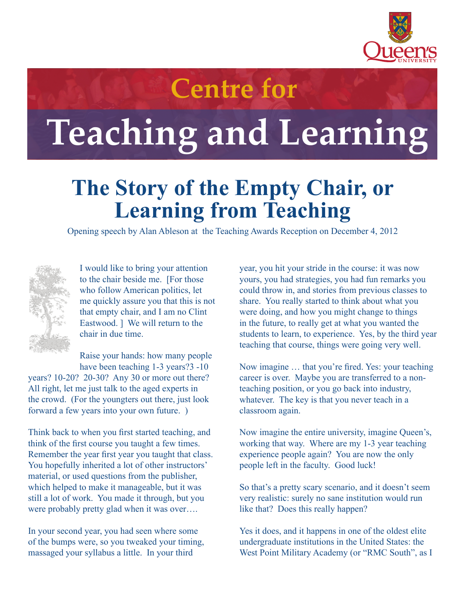

## **Centre for**

## **Teaching and Learning**

## **The Story of the Empty Chair, or Learning from Teaching**

Opening speech by Alan Ableson at the Teaching Awards Reception on December 4, 2012



I would like to bring your attention to the chair beside me. [For those who follow American politics, let me quickly assure you that this is not that empty chair, and I am no Clint Eastwood. ] We will return to the chair in due time.

Raise your hands: how many people have been teaching 1-3 years?3 -10

years? 10-20? 20-30? Any 30 or more out there? All right, let me just talk to the aged experts in the crowd. (For the youngters out there, just look forward a few years into your own future. )

Think back to when you first started teaching, and think of the first course you taught a few times. Remember the year first year you taught that class. You hopefully inherited a lot of other instructors' material, or used questions from the publisher, which helped to make it manageable, but it was still a lot of work. You made it through, but you were probably pretty glad when it was over….

In your second year, you had seen where some of the bumps were, so you tweaked your timing, massaged your syllabus a little. In your third

year, you hit your stride in the course: it was now yours, you had strategies, you had fun remarks you could throw in, and stories from previous classes to share. You really started to think about what you were doing, and how you might change to things in the future, to really get at what you wanted the students to learn, to experience. Yes, by the third year teaching that course, things were going very well.

Now imagine … that you're fired. Yes: your teaching career is over. Maybe you are transferred to a nonteaching position, or you go back into industry, whatever. The key is that you never teach in a classroom again.

Now imagine the entire university, imagine Queen's, working that way. Where are my 1-3 year teaching experience people again? You are now the only people left in the faculty. Good luck!

So that's a pretty scary scenario, and it doesn't seem very realistic: surely no sane institution would run like that? Does this really happen?

Yes it does, and it happens in one of the oldest elite undergraduate institutions in the United States: the West Point Military Academy (or "RMC South", as I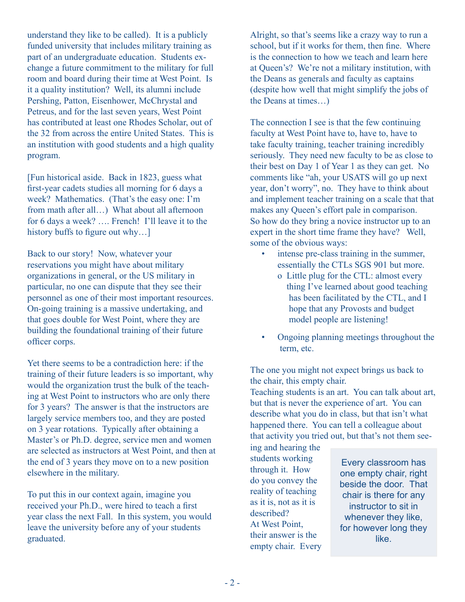understand they like to be called). It is a publicly funded university that includes military training as part of an undergraduate education. Students exchange a future commitment to the military for full room and board during their time at West Point. Is it a quality institution? Well, its alumni include Pershing, Patton, Eisenhower, McChrystal and Petreus, and for the last seven years, West Point has contributed at least one Rhodes Scholar, out of the 32 from across the entire United States. This is an institution with good students and a high quality program.

[Fun historical aside. Back in 1823, guess what first-year cadets studies all morning for 6 days a week? Mathematics. (That's the easy one: I'm from math after all…) What about all afternoon for 6 days a week? …. French! I'll leave it to the history buffs to figure out why...]

Back to our story! Now, whatever your reservations you might have about military organizations in general, or the US military in particular, no one can dispute that they see their personnel as one of their most important resources. On-going training is a massive undertaking, and that goes double for West Point, where they are building the foundational training of their future officer corps.

Yet there seems to be a contradiction here: if the training of their future leaders is so important, why would the organization trust the bulk of the teaching at West Point to instructors who are only there for 3 years? The answer is that the instructors are largely service members too, and they are posted on 3 year rotations. Typically after obtaining a Master's or Ph.D. degree, service men and women are selected as instructors at West Point, and then at the end of 3 years they move on to a new position elsewhere in the military.

To put this in our context again, imagine you received your Ph.D., were hired to teach a first year class the next Fall. In this system, you would leave the university before any of your students graduated.

Alright, so that's seems like a crazy way to run a school, but if it works for them, then fine. Where is the connection to how we teach and learn here at Queen's? We're not a military institution, with the Deans as generals and faculty as captains (despite how well that might simplify the jobs of the Deans at times…)

The connection I see is that the few continuing faculty at West Point have to, have to, have to take faculty training, teacher training incredibly seriously. They need new faculty to be as close to their best on Day 1 of Year 1 as they can get. No comments like "ah, your USATS will go up next year, don't worry", no. They have to think about and implement teacher training on a scale that that makes any Queen's effort pale in comparison. So how do they bring a novice instructor up to an expert in the short time frame they have? Well, some of the obvious ways:

- intense pre-class training in the summer, essentially the CTLs SGS 901 but more.
	- o Little plug for the CTL: almost every thing I've learned about good teaching has been facilitated by the CTL, and I hope that any Provosts and budget model people are listening!
- Ongoing planning meetings throughout the term, etc.

The one you might not expect brings us back to the chair, this empty chair.

Teaching students is an art. You can talk about art, but that is never the experience of art. You can describe what you do in class, but that isn't what happened there. You can tell a colleague about that activity you tried out, but that's not them see-

ing and hearing the students working through it. How do you convey the reality of teaching as it is, not as it is described? At West Point, their answer is the empty chair. Every

Every classroom has one empty chair, right beside the door. That chair is there for any instructor to sit in whenever they like, for however long they like.